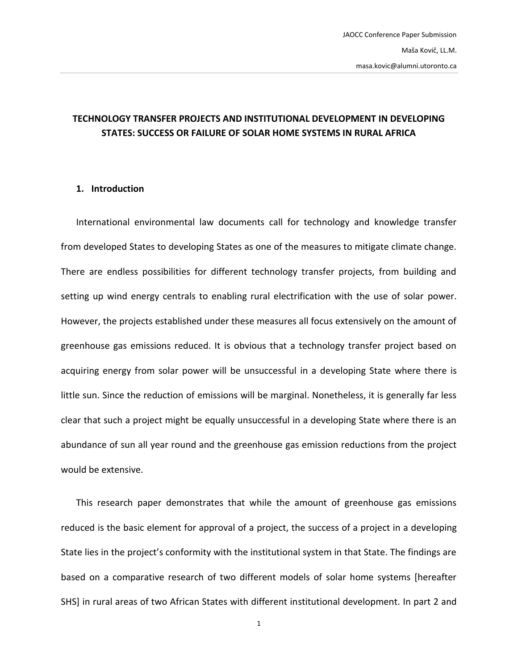# **TECHNOLOGY TRANSFER PROJECTS AND INSTITUTIONAL DEVELOPMENT IN DEVELOPING STATES: SUCCESS OR FAILURE OF SOLAR HOME SYSTEMS IN RURAL AFRICA**

#### **1. Introduction**

International environmental law documents call for technology and knowledge transfer from developed States to developing States as one of the measures to mitigate climate change. There are endless possibilities for different technology transfer projects, from building and setting up wind energy centrals to enabling rural electrification with the use of solar power. However, the projects established under these measures all focus extensively on the amount of greenhouse gas emissions reduced. It is obvious that a technology transfer project based on acquiring energy from solar power will be unsuccessful in a developing State where there is little sun. Since the reduction of emissions will be marginal. Nonetheless, it is generally far less clear that such a project might be equally unsuccessful in a developing State where there is an abundance of sun all year round and the greenhouse gas emission reductions from the project would be extensive.

This research paper demonstrates that while the amount of greenhouse gas emissions reduced is the basic element for approval of a project, the success of a project in a developing State lies in the project's conformity with the institutional system in that State. The findings are based on a comparative research of two different models of solar home systems [hereafter SHS] in rural areas of two African States with different institutional development. In part 2 and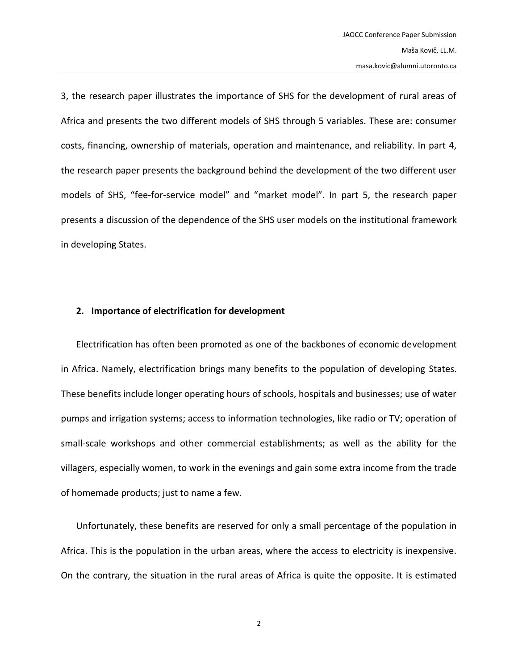3, the research paper illustrates the importance of SHS for the development of rural areas of Africa and presents the two different models of SHS through 5 variables. These are: consumer costs, financing, ownership of materials, operation and maintenance, and reliability. In part 4, the research paper presents the background behind the development of the two different user models of SHS, "fee-for-service model" and "market model". In part 5, the research paper presents a discussion of the dependence of the SHS user models on the institutional framework in developing States.

#### **2. Importance of electrification for development**

Electrification has often been promoted as one of the backbones of economic development in Africa. Namely, electrification brings many benefits to the population of developing States. These benefits include longer operating hours of schools, hospitals and businesses; use of water pumps and irrigation systems; access to information technologies, like radio or TV; operation of small-scale workshops and other commercial establishments; as well as the ability for the villagers, especially women, to work in the evenings and gain some extra income from the trade of homemade products; just to name a few.

Unfortunately, these benefits are reserved for only a small percentage of the population in Africa. This is the population in the urban areas, where the access to electricity is inexpensive. On the contrary, the situation in the rural areas of Africa is quite the opposite. It is estimated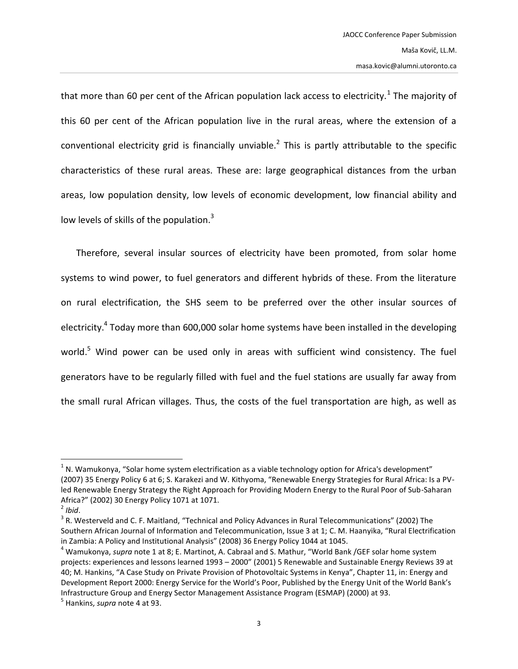<span id="page-2-0"></span>that more than 60 per cent of the African population lack access to electricity.<sup>1</sup> The majority of this 60 per cent of the African population live in the rural areas, where the extension of a conventional electricity grid is financially unviable.<sup>2</sup> This is partly attributable to the specific characteristics of these rural areas. These are: large geographical distances from the urban areas, low population density, low levels of economic development, low financial ability and low levels of skills of the population. $3$ 

<span id="page-2-2"></span><span id="page-2-1"></span>Therefore, several insular sources of electricity have been promoted, from solar home systems to wind power, to fuel generators and different hybrids of these. From the literature on rural electrification, the SHS seem to be preferred over the other insular sources of electricity.<sup>4</sup> Today more than 600,000 solar home systems have been installed in the developing world.<sup>5</sup> Wind power can be used only in areas with sufficient wind consistency. The fuel generators have to be regularly filled with fuel and the fuel stations are usually far away from the small rural African villages. Thus, the costs of the fuel transportation are high, as well as

 $1$  N. Wamukonya, "Solar home system electrification as a viable technology option for Africa's development" (2007) 35 Energy Policy 6 at 6; S. Karakezi and W. Kithyoma, "Renewable Energy Strategies for Rural Africa: Is a PVled Renewable Energy Strategy the Right Approach for Providing Modern Energy to the Rural Poor of Sub-Saharan Africa?" (2002) 30 Energy Policy 1071 at 1071.

<sup>2</sup> *Ibid*.

<sup>&</sup>lt;sup>3</sup> R. Westerveld and C. F. Maitland, "Technical and Policy Advances in Rural Telecommunications" (2002) The Southern African Journal of Information and Telecommunication, Issue 3 at 1; C. M. Haanyika, "Rural Electrification in Zambia: A Policy and Institutional Analysis" (2008) 36 Energy Policy 1044 at 1045.

<sup>4</sup> Wamukonya, *supra* note [1](#page-2-0) at 8; E. Martinot, A. Cabraal and S. Mathur, "World Bank /GEF solar home system projects: experiences and lessons learned 1993 – 2000" (2001) 5 Renewable and Sustainable Energy Reviews 39 at 40; M. Hankins, "A Case Study on Private Provision of Photovoltaic Systems in Kenya", Chapter 11, in: Energy and Development Report 2000: Energy Service for the World's Poor, Published by the Energy Unit of the World Bank's Infrastructure Group and Energy Sector Management Assistance Program (ESMAP) (2000) at 93.

<sup>5</sup> Hankins, *supra* not[e 4](#page-2-1) at 93.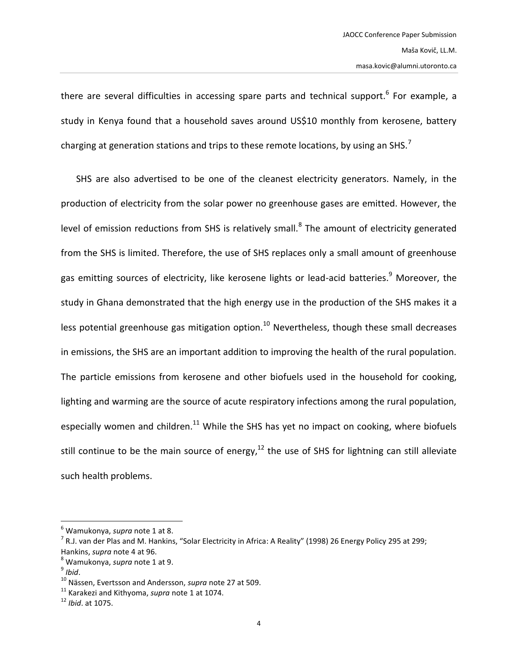there are several difficulties in accessing spare parts and technical support.<sup>6</sup> For example, a study in Kenya found that a household saves around US\$10 monthly from kerosene, battery charging at generation stations and trips to these remote locations, by using an SHS.<sup>7</sup>

<span id="page-3-0"></span>SHS are also advertised to be one of the cleanest electricity generators. Namely, in the production of electricity from the solar power no greenhouse gases are emitted. However, the level of emission reductions from SHS is relatively small.<sup>8</sup> The amount of electricity generated from the SHS is limited. Therefore, the use of SHS replaces only a small amount of greenhouse gas emitting sources of electricity, like kerosene lights or lead-acid batteries.<sup>9</sup> Moreover, the study in Ghana demonstrated that the high energy use in the production of the SHS makes it a less potential greenhouse gas mitigation option.<sup>10</sup> Nevertheless, though these small decreases in emissions, the SHS are an important addition to improving the health of the rural population. The particle emissions from kerosene and other biofuels used in the household for cooking, lighting and warming are the source of acute respiratory infections among the rural population, especially women and children.<sup>11</sup> While the SHS has yet no impact on cooking, where biofuels still continue to be the main source of energy, $12$  the use of SHS for lightning can still alleviate such health problems.

<sup>6</sup> Wamukonya, *supra* note [1](#page-2-0) at 8.

 $^7$  R.J. van der Plas and M. Hankins, "Solar Electricity in Africa: A Reality" (1998) 26 Energy Policy 295 at 299; Hankins, *supra* note [4](#page-2-1) at 96.

<sup>8</sup> Wamukonya, *supra* note [1](#page-2-0) at 9.

<sup>9</sup> *Ibid*.

<sup>10</sup> Nässen, Evertsson and Andersson, *supra* note [27](#page-7-0) at 509.

<sup>11</sup> Karakezi and Kithyoma, *supra* note [1](#page-2-0) at 1074.

<sup>12</sup> *Ibid*. at 1075.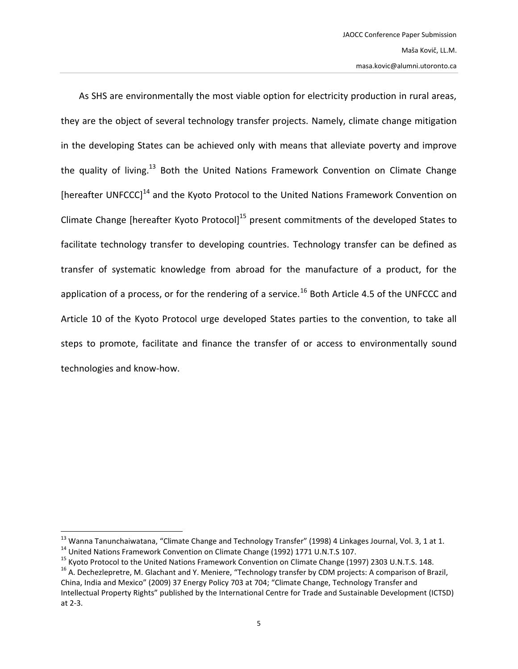As SHS are environmentally the most viable option for electricity production in rural areas, they are the object of several technology transfer projects. Namely, climate change mitigation in the developing States can be achieved only with means that alleviate poverty and improve the quality of living.<sup>13</sup> Both the United Nations Framework Convention on Climate Change [hereafter UNFCCC]<sup>14</sup> and the Kyoto Protocol to the United Nations Framework Convention on Climate Change [hereafter Kyoto Protocol]<sup>15</sup> present commitments of the developed States to facilitate technology transfer to developing countries. Technology transfer can be defined as transfer of systematic knowledge from abroad for the manufacture of a product, for the application of a process, or for the rendering of a service.<sup>16</sup> Both Article 4.5 of the UNFCCC and Article 10 of the Kyoto Protocol urge developed States parties to the convention, to take all steps to promote, facilitate and finance the transfer of or access to environmentally sound technologies and know-how.

<sup>&</sup>lt;sup>13</sup> Wanna Tanunchaiwatana, "Climate Change and Technology Transfer" (1998) 4 Linkages Journal, Vol. 3, 1 at 1. <sup>14</sup> United Nations Framework Convention on Climate Change (1992) 1771 U.N.T.S 107.

<sup>&</sup>lt;sup>15</sup> Kyoto Protocol to the United Nations Framework Convention on Climate Change (1997) 2303 U.N.T.S. 148.

<sup>&</sup>lt;sup>16</sup> A. Dechezlepretre, M. Glachant and Y. Meniere, "Technology transfer by CDM projects: A comparison of Brazil, China, India and Mexico" (2009) 37 Energy Policy 703 at 704; "Climate Change, Technology Transfer and Intellectual Property Rights" published by the International Centre for Trade and Sustainable Development (ICTSD) at 2-3.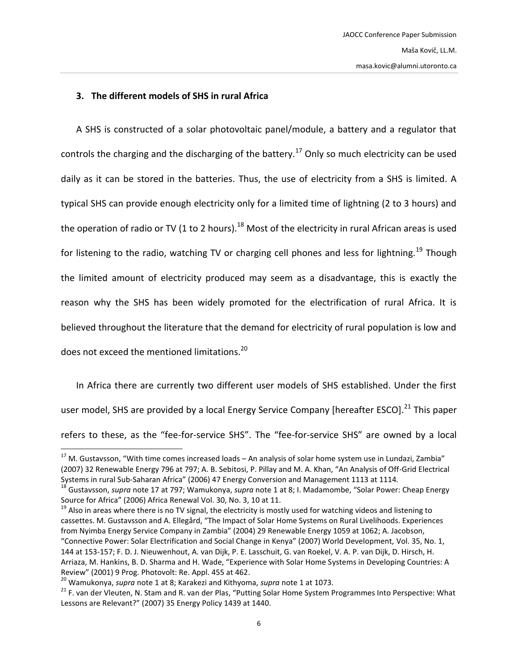### <span id="page-5-2"></span><span id="page-5-0"></span>**3. The different models of SHS in rural Africa**

<span id="page-5-3"></span>A SHS is constructed of a solar photovoltaic panel/module, a battery and a regulator that controls the charging and the discharging of the battery.<sup>17</sup> Only so much electricity can be used daily as it can be stored in the batteries. Thus, the use of electricity from a SHS is limited. A typical SHS can provide enough electricity only for a limited time of lightning (2 to 3 hours) and the operation of radio or TV (1 to 2 hours).<sup>18</sup> Most of the electricity in rural African areas is used for listening to the radio, watching TV or charging cell phones and less for lightning.<sup>19</sup> Though the limited amount of electricity produced may seem as a disadvantage, this is exactly the reason why the SHS has been widely promoted for the electrification of rural Africa. It is believed throughout the literature that the demand for electricity of rural population is low and does not exceed the mentioned limitations.<sup>20</sup>

<span id="page-5-1"></span>In Africa there are currently two different user models of SHS established. Under the first user model, SHS are provided by a local Energy Service Company [hereafter ESCO].<sup>21</sup> This paper refers to these, as the "fee-for-service SHS". The "fee-for-service SHS" are owned by a local

<sup>&</sup>lt;sup>17</sup> M. Gustavsson, "With time comes increased loads – An analysis of solar home system use in Lundazi, Zambia" (2007) 32 Renewable Energy 796 at 797; A. B. Sebitosi, P. Pillay and M. A. Khan, "An Analysis of Off-Grid Electrical Systems in rural Sub-Saharan Africa" (2006) 47 Energy Conversion and Management 1113 at 1114.

<sup>18</sup> Gustavsson, *supra* note [17](#page-5-0) at 797; Wamukonya, *supra* note [1](#page-2-0) at 8; I. Madamombe, "Solar Power: Cheap Energy Source for Africa" (2006) Africa Renewal Vol. 30, No. 3, 10 at 11.

<sup>&</sup>lt;sup>19</sup> Also in areas where there is no TV signal, the electricity is mostly used for watching videos and listening to cassettes. M. Gustavsson and A. Ellegård, "The Impact of Solar Home Systems on Rural Livelihoods. Experiences from Nyimba Energy Service Company in Zambia" (2004) 29 Renewable Energy 1059 at 1062; A. Jacobson, "Connective Power: Solar Electrification and Social Change in Kenya" (2007) World Development, Vol. 35, No. 1, 144 at 153-157; F. D. J. Nieuwenhout, A. van Dijk, P. E. Lasschuit, G. van Roekel, V. A. P. van Dijk, D. Hirsch, H. Arriaza, M. Hankins, B. D. Sharma and H. Wade, "Experience with Solar Home Systems in Developing Countries: A Review" (2001) 9 Prog. Photovolt: Re. Appl. 455 at 462.

<sup>20</sup> Wamukonya, *supra* note [1](#page-2-0) at 8; Karakezi and Kithyoma, *supra* note [1](#page-2-0) at 1073.

<sup>&</sup>lt;sup>21</sup> F. van der Vleuten, N. Stam and R. van der Plas, "Putting Solar Home System Programmes Into Perspective: What Lessons are Relevant?" (2007) 35 Energy Policy 1439 at 1440.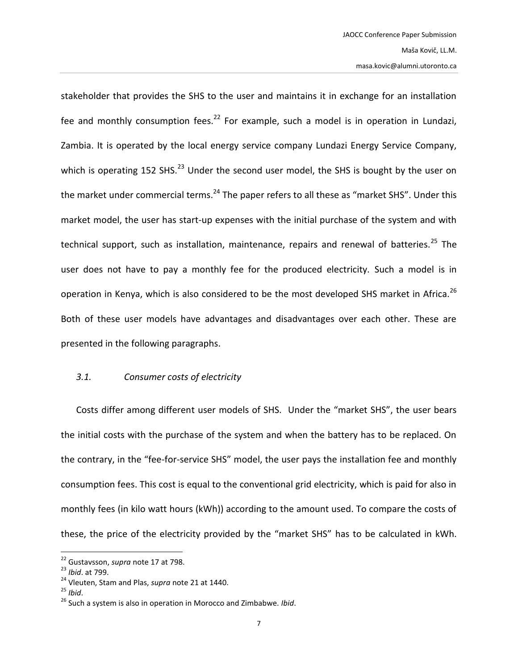stakeholder that provides the SHS to the user and maintains it in exchange for an installation fee and monthly consumption fees.<sup>22</sup> For example, such a model is in operation in Lundazi, Zambia. It is operated by the local energy service company Lundazi Energy Service Company, which is operating 152 SHS. $^{23}$  Under the second user model, the SHS is bought by the user on the market under commercial terms.<sup>24</sup> The paper refers to all these as "market SHS". Under this market model, the user has start-up expenses with the initial purchase of the system and with technical support, such as installation, maintenance, repairs and renewal of batteries.<sup>25</sup> The user does not have to pay a monthly fee for the produced electricity. Such a model is in operation in Kenya, which is also considered to be the most developed SHS market in Africa.<sup>26</sup> Both of these user models have advantages and disadvantages over each other. These are presented in the following paragraphs.

#### *3.1. Consumer costs of electricity*

Costs differ among different user models of SHS. Under the "market SHS", the user bears the initial costs with the purchase of the system and when the battery has to be replaced. On the contrary, in the "fee-for-service SHS" model, the user pays the installation fee and monthly consumption fees. This cost is equal to the conventional grid electricity, which is paid for also in monthly fees (in kilo watt hours (kWh)) according to the amount used. To compare the costs of these, the price of the electricity provided by the "market SHS" has to be calculated in kWh.

l

<sup>22</sup> Gustavsson, *supra* note [17](#page-5-0) at 798.

<sup>23</sup> *Ibid*. at 799.

<sup>24</sup> Vleuten, Stam and Plas, *supra* note [21](#page-5-1) at 1440.

<sup>25</sup> *Ibid*.

<sup>26</sup> Such a system is also in operation in Morocco and Zimbabwe. *Ibid*.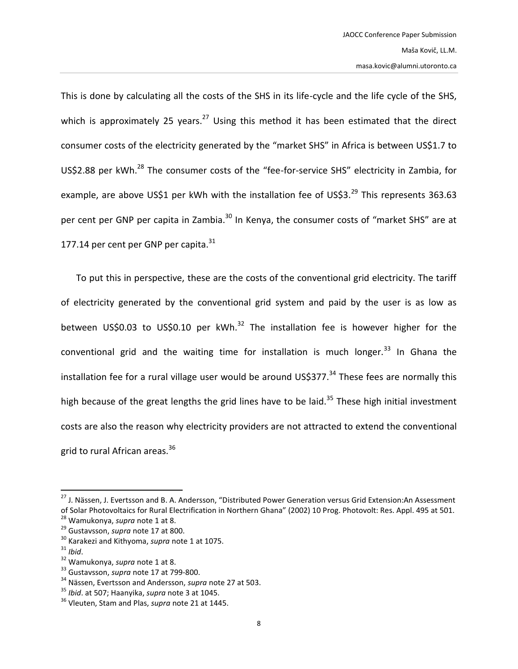<span id="page-7-0"></span>This is done by calculating all the costs of the SHS in its life-cycle and the life cycle of the SHS, which is approximately 25 years.<sup>27</sup> Using this method it has been estimated that the direct consumer costs of the electricity generated by the "market SHS" in Africa is between US\$1.7 to US\$2.88 per kWh.<sup>28</sup> The consumer costs of the "fee-for-service SHS" electricity in Zambia, for example, are above US\$1 per kWh with the installation fee of US\$3.<sup>29</sup> This represents 363.63 per cent per GNP per capita in Zambia.<sup>30</sup> In Kenya, the consumer costs of "market SHS" are at 177.14 per cent per GNP per capita. $31$ 

To put this in perspective, these are the costs of the conventional grid electricity. The tariff of electricity generated by the conventional grid system and paid by the user is as low as between US\$0.03 to US\$0.10 per kWh.<sup>32</sup> The installation fee is however higher for the conventional grid and the waiting time for installation is much longer. $33$  In Ghana the installation fee for a rural village user would be around US\$377. $34$  These fees are normally this high because of the great lengths the grid lines have to be laid.<sup>35</sup> These high initial investment costs are also the reason why electricity providers are not attracted to extend the conventional grid to rural African areas.<sup>36</sup>

<sup>&</sup>lt;sup>27</sup> J. Nässen, J. Evertsson and B. A. Andersson, "Distributed Power Generation versus Grid Extension:An Assessment of Solar Photovoltaics for Rural Electrification in Northern Ghana" (2002) 10 Prog. Photovolt: Res. Appl. 495 at 501. <sup>28</sup> Wamukonya, *supra* note [1](#page-2-0) at 8.

<sup>29</sup> Gustavsson, *supra* note [17](#page-5-0) at 800.

<sup>30</sup> Karakezi and Kithyoma, *supra* note [1](#page-2-0) at 1075.

<sup>31</sup> *Ibid*.

<sup>32</sup> Wamukonya, *supra* note [1](#page-2-0) at 8.

<sup>33</sup> Gustavsson, *supra* note [17](#page-5-0) at 799-800.

<sup>34</sup> Nässen, Evertsson and Andersson, *supra* note [27](#page-7-0) at 503.

<sup>35</sup> *Ibid*. at 507; Haanyika, *supra* not[e 3](#page-2-2) at 1045.

<sup>36</sup> Vleuten, Stam and Plas, *supra* note [21](#page-5-1) at 1445.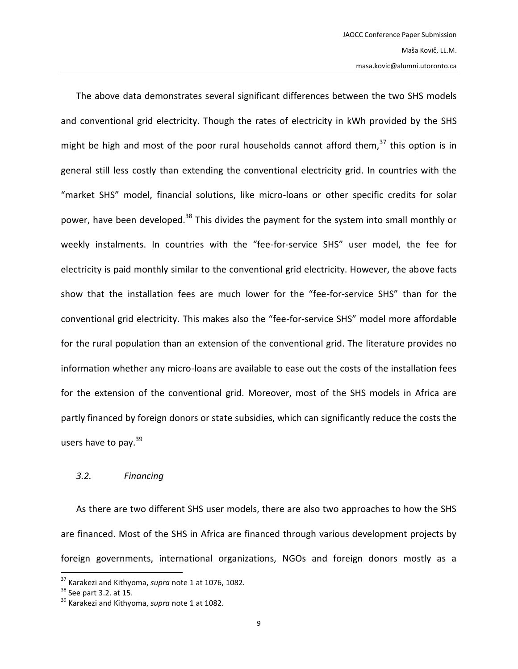The above data demonstrates several significant differences between the two SHS models and conventional grid electricity. Though the rates of electricity in kWh provided by the SHS might be high and most of the poor rural households cannot afford them,  $37$  this option is in general still less costly than extending the conventional electricity grid. In countries with the "market SHS" model, financial solutions, like micro-loans or other specific credits for solar power, have been developed.<sup>38</sup> This divides the payment for the system into small monthly or weekly instalments. In countries with the "fee-for-service SHS" user model, the fee for electricity is paid monthly similar to the conventional grid electricity. However, the above facts show that the installation fees are much lower for the "fee-for-service SHS" than for the conventional grid electricity. This makes also the "fee-for-service SHS" model more affordable for the rural population than an extension of the conventional grid. The literature provides no information whether any micro-loans are available to ease out the costs of the installation fees for the extension of the conventional grid. Moreover, most of the SHS models in Africa are partly financed by foreign donors or state subsidies, which can significantly reduce the costs the users have to pay.<sup>39</sup>

#### *3.2. Financing*

As there are two different SHS user models, there are also two approaches to how the SHS are financed. Most of the SHS in Africa are financed through various development projects by foreign governments, international organizations, NGOs and foreign donors mostly as a

<sup>37</sup> Karakezi and Kithyoma, *supra* note [1](#page-2-0) at 1076, 1082.

 $38$  See part 3.2. at 15.

<sup>39</sup> Karakezi and Kithyoma, *supra* note [1](#page-2-0) at 1082.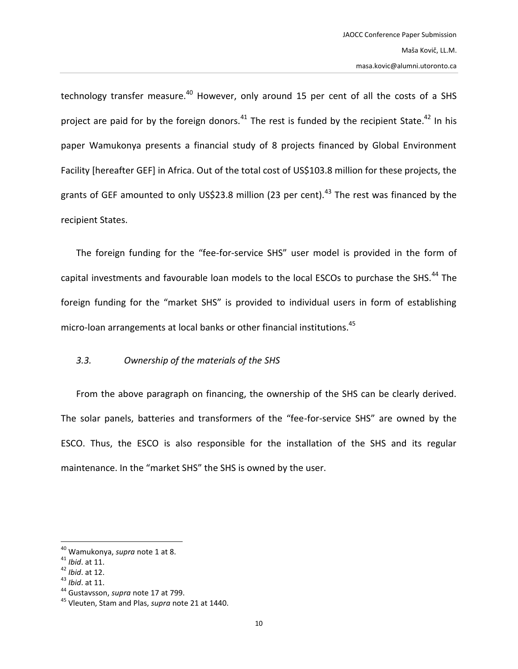technology transfer measure.<sup>40</sup> However, only around 15 per cent of all the costs of a SHS project are paid for by the foreign donors.<sup>41</sup> The rest is funded by the recipient State.<sup>42</sup> In his paper Wamukonya presents a financial study of 8 projects financed by Global Environment Facility [hereafter GEF] in Africa. Out of the total cost of US\$103.8 million for these projects, the grants of GEF amounted to only US\$23.8 million (23 per cent).<sup>43</sup> The rest was financed by the recipient States.

The foreign funding for the "fee-for-service SHS" user model is provided in the form of capital investments and favourable loan models to the local ESCOs to purchase the SHS.<sup>44</sup> The foreign funding for the "market SHS" is provided to individual users in form of establishing micro-loan arrangements at local banks or other financial institutions.<sup>45</sup>

# *3.3. Ownership of the materials of the SHS*

From the above paragraph on financing, the ownership of the SHS can be clearly derived. The solar panels, batteries and transformers of the "fee-for-service SHS" are owned by the ESCO. Thus, the ESCO is also responsible for the installation of the SHS and its regular maintenance. In the "market SHS" the SHS is owned by the user.

<sup>40</sup> Wamukonya, *supra* note [1](#page-2-0) at 8.

<sup>41</sup> *Ibid*. at 11.

<sup>42</sup> *Ibid*. at 12.

<sup>43</sup> *Ibid*. at 11.

<sup>44</sup> Gustavsson, *supra* note [17](#page-5-0) at 799.

<sup>45</sup> Vleuten, Stam and Plas, *supra* note [21](#page-5-1) at 1440.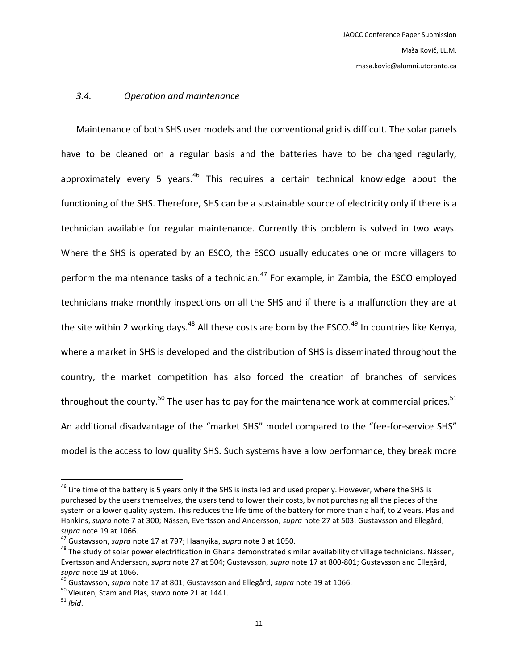#### *3.4. Operation and maintenance*

Maintenance of both SHS user models and the conventional grid is difficult. The solar panels have to be cleaned on a regular basis and the batteries have to be changed regularly, approximately every 5 years. $46$  This requires a certain technical knowledge about the functioning of the SHS. Therefore, SHS can be a sustainable source of electricity only if there is a technician available for regular maintenance. Currently this problem is solved in two ways. Where the SHS is operated by an ESCO, the ESCO usually educates one or more villagers to perform the maintenance tasks of a technician.<sup>47</sup> For example, in Zambia, the ESCO employed technicians make monthly inspections on all the SHS and if there is a malfunction they are at the site within 2 working days.<sup>48</sup> All these costs are born by the ESCO.<sup>49</sup> In countries like Kenya, where a market in SHS is developed and the distribution of SHS is disseminated throughout the country, the market competition has also forced the creation of branches of services throughout the county.<sup>50</sup> The user has to pay for the maintenance work at commercial prices.<sup>51</sup> An additional disadvantage of the "market SHS" model compared to the "fee-for-service SHS" model is the access to low quality SHS. Such systems have a low performance, they break more

<sup>&</sup>lt;sup>46</sup> Life time of the battery is 5 years only if the SHS is installed and used properly. However, where the SHS is purchased by the users themselves, the users tend to lower their costs, by not purchasing all the pieces of the system or a lower quality system. This reduces the life time of the battery for more than a half, to 2 years. Plas and Hankins, *supra* note [7](#page-3-0) at 300; Nässen, Evertsson and Andersson, *supra* not[e 27](#page-7-0) at 503; Gustavsson and Ellegård, *supra* note [19](#page-5-2) at 1066.

<sup>47</sup> Gustavsson, *supra* note [17](#page-5-0) at 797; Haanyika, *supra* note [3](#page-2-2) at 1050.

<sup>&</sup>lt;sup>48</sup> The study of solar power electrification in Ghana demonstrated similar availability of village technicians. Nässen, Evertsson and Andersson, *supra* not[e 27](#page-7-0) at 504; Gustavsson, *supra* not[e 17](#page-5-0) at 800-801; Gustavsson and Ellegård, *supra* note [19](#page-5-2) at 1066.

<sup>49</sup> Gustavsson, *supra* note [17](#page-5-0) at 801; Gustavsson and Ellegård, *supra* note [19](#page-5-2) at 1066.

<sup>50</sup> Vleuten, Stam and Plas, *supra* note [21](#page-5-1) at 1441.

<sup>51</sup> *Ibid*.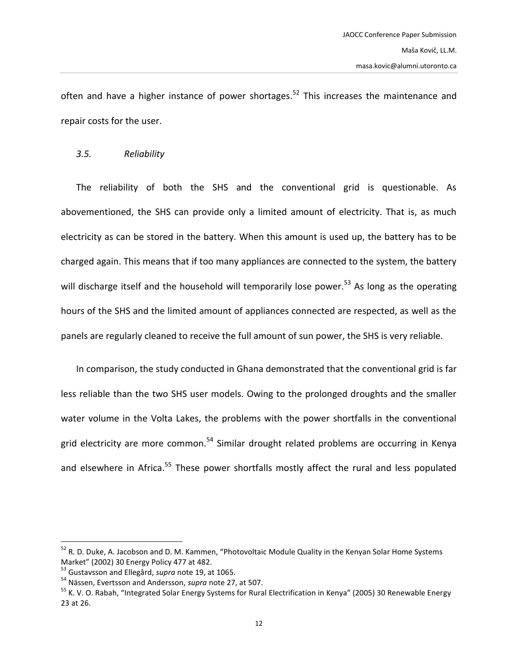often and have a higher instance of power shortages.<sup>52</sup> This increases the maintenance and repair costs for the user.

### <span id="page-11-0"></span>*3.5. Reliability*

The reliability of both the SHS and the conventional grid is questionable. As abovementioned, the SHS can provide only a limited amount of electricity. That is, as much electricity as can be stored in the battery. When this amount is used up, the battery has to be charged again. This means that if too many appliances are connected to the system, the battery will discharge itself and the household will temporarily lose power.<sup>53</sup> As long as the operating hours of the SHS and the limited amount of appliances connected are respected, as well as the panels are regularly cleaned to receive the full amount of sun power, the SHS is very reliable.

In comparison, the study conducted in Ghana demonstrated that the conventional grid is far less reliable than the two SHS user models. Owing to the prolonged droughts and the smaller water volume in the Volta Lakes, the problems with the power shortfalls in the conventional grid electricity are more common.<sup>54</sup> Similar drought related problems are occurring in Kenya and elsewhere in Africa.<sup>55</sup> These power shortfalls mostly affect the rural and less populated

<sup>&</sup>lt;sup>52</sup> R. D. Duke, A. Jacobson and D. M. Kammen, "Photovoltaic Module Quality in the Kenyan Solar Home Systems Market" (2002) 30 Energy Policy 477 at 482.

<sup>53</sup> Gustavsson and Ellegård, *supra* not[e 19,](#page-5-2) at 1065.

<sup>54</sup> Nässen, Evertsson and Andersson, *supra* note [27,](#page-7-0) at 507.

<sup>&</sup>lt;sup>55</sup> K. V. O. Rabah, "Integrated Solar Energy Systems for Rural Electrification in Kenya" (2005) 30 Renewable Energy 23 at 26.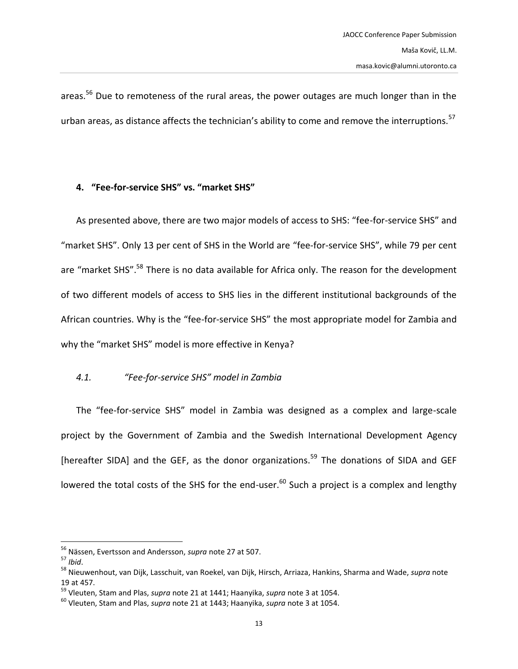areas.<sup>56</sup> Due to remoteness of the rural areas, the power outages are much longer than in the urban areas, as distance affects the technician's ability to come and remove the interruptions.<sup>57</sup>

# **4. "Fee-for-service SHS" vs. "market SHS"**

As presented above, there are two major models of access to SHS: "fee-for-service SHS" and "market SHS". Only 13 per cent of SHS in the World are "fee-for-service SHS", while 79 per cent are "market SHS".<sup>58</sup> There is no data available for Africa only. The reason for the development of two different models of access to SHS lies in the different institutional backgrounds of the African countries. Why is the "fee-for-service SHS" the most appropriate model for Zambia and why the "market SHS" model is more effective in Kenya?

# *4.1. "Fee-for-service SHS" model in Zambia*

The "fee-for-service SHS" model in Zambia was designed as a complex and large-scale project by the Government of Zambia and the Swedish International Development Agency [hereafter SIDA] and the GEF, as the donor organizations.<sup>59</sup> The donations of SIDA and GEF lowered the total costs of the SHS for the end-user.<sup>60</sup> Such a project is a complex and lengthy

<sup>56</sup> Nässen, Evertsson and Andersson, *supra* note [27](#page-7-0) at 507.

<sup>57</sup> *Ibid*.

<sup>58</sup> Nieuwenhout, van Dijk, Lasschuit, van Roekel, van Dijk, Hirsch, Arriaza, Hankins, Sharma and Wade, *supra* note [19](#page-5-2) at 457.

<sup>59</sup> Vleuten, Stam and Plas, *supra* note [21](#page-5-1) at 1441; Haanyika, *supra* note [3](#page-2-2) at 1054.

<sup>60</sup> Vleuten, Stam and Plas, *supra* note [21](#page-5-1) at 1443; Haanyika, *supra* note [3](#page-2-2) at 1054.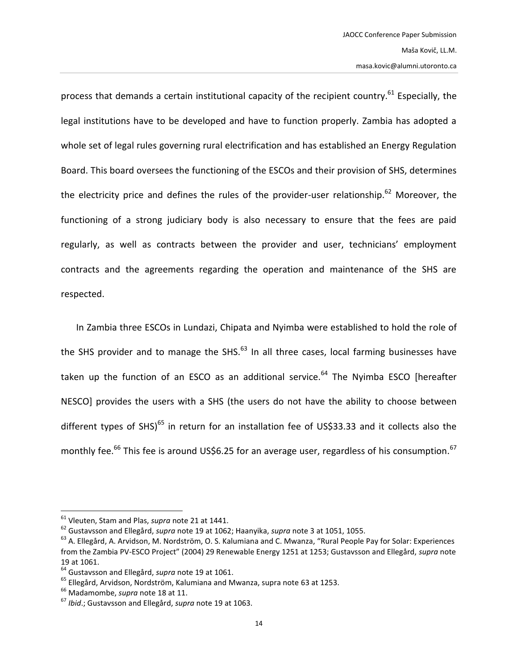process that demands a certain institutional capacity of the recipient country.<sup>61</sup> Especially, the legal institutions have to be developed and have to function properly. Zambia has adopted a whole set of legal rules governing rural electrification and has established an Energy Regulation Board. This board oversees the functioning of the ESCOs and their provision of SHS, determines the electricity price and defines the rules of the provider-user relationship.<sup>62</sup> Moreover, the functioning of a strong judiciary body is also necessary to ensure that the fees are paid regularly, as well as contracts between the provider and user, technicians' employment contracts and the agreements regarding the operation and maintenance of the SHS are respected.

<span id="page-13-0"></span>In Zambia three ESCOs in Lundazi, Chipata and Nyimba were established to hold the role of the SHS provider and to manage the SHS. $^{63}$  In all three cases, local farming businesses have taken up the function of an ESCO as an additional service. $64$  The Nyimba ESCO [hereafter NESCO] provides the users with a SHS (the users do not have the ability to choose between different types of SHS)<sup>65</sup> in return for an installation fee of US\$33.33 and it collects also the monthly fee.<sup>66</sup> This fee is around US\$6.25 for an average user, regardless of his consumption.<sup>67</sup>

<sup>61</sup> Vleuten, Stam and Plas, *supra* note [21](#page-5-1) at 1441.

<sup>62</sup> Gustavsson and Ellegård, *supra* not[e 19](#page-5-2) at 1062; Haanyika, *supra* note [3](#page-2-2) at 1051, 1055.

<sup>&</sup>lt;sup>63</sup> A. Ellegård, A. Arvidson, M. Nordström, O. S. Kalumiana and C. Mwanza, "Rural People Pay for Solar: Experiences from the Zambia PV-ESCO Project" (2004) 29 Renewable Energy 1251 at 1253; Gustavsson and Ellegård, *supra* note [19](#page-5-2) at 1061.

<sup>64</sup> Gustavsson and Ellegård, *supra* not[e 19](#page-5-2) at 1061.

<sup>65</sup> Ellegård, Arvidson, Nordström, Kalumiana and Mwanza, supra note [63](#page-13-0) at 1253.

<sup>66</sup> Madamombe, *supra* not[e 18](#page-5-3) at 11.

<sup>67</sup> *Ibid*.; Gustavsson and Ellegård, *supra* note [19](#page-5-2) at 1063.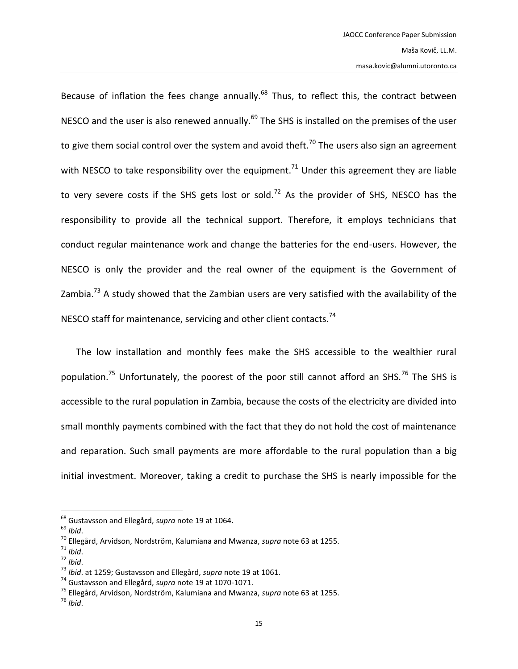Because of inflation the fees change annually.<sup>68</sup> Thus, to reflect this, the contract between NESCO and the user is also renewed annually.<sup>69</sup> The SHS is installed on the premises of the user to give them social control over the system and avoid theft.<sup>70</sup> The users also sign an agreement with NESCO to take responsibility over the equipment.<sup>71</sup> Under this agreement they are liable to very severe costs if the SHS gets lost or sold.<sup>72</sup> As the provider of SHS, NESCO has the responsibility to provide all the technical support. Therefore, it employs technicians that conduct regular maintenance work and change the batteries for the end-users. However, the NESCO is only the provider and the real owner of the equipment is the Government of Zambia.<sup>73</sup> A study showed that the Zambian users are very satisfied with the availability of the NESCO staff for maintenance, servicing and other client contacts.<sup>74</sup>

The low installation and monthly fees make the SHS accessible to the wealthier rural population.<sup>75</sup> Unfortunately, the poorest of the poor still cannot afford an SHS.<sup>76</sup> The SHS is accessible to the rural population in Zambia, because the costs of the electricity are divided into small monthly payments combined with the fact that they do not hold the cost of maintenance and reparation. Such small payments are more affordable to the rural population than a big initial investment. Moreover, taking a credit to purchase the SHS is nearly impossible for the

 $\overline{\phantom{a}}$ <sup>68</sup> Gustavsson and Ellegård, *supra* not[e 19](#page-5-2) at 1064.

<sup>69</sup> *Ibid*.

<sup>70</sup> Ellegård, Arvidson, Nordström, Kalumiana and Mwanza, *supra* note [63](#page-13-0) at 1255.

<sup>71</sup> *Ibid*.

<sup>72</sup> *Ibid*.

<sup>73</sup> *Ibid*. at 1259; Gustavsson and Ellegård, *supra* note [19](#page-5-2) at 1061.

<sup>74</sup> Gustavsson and Ellegård, *supra* not[e 19](#page-5-2) at 1070-1071.

<sup>75</sup> Ellegård, Arvidson, Nordström, Kalumiana and Mwanza, *supra* note [63](#page-13-0) at 1255.

<sup>76</sup> *Ibid*.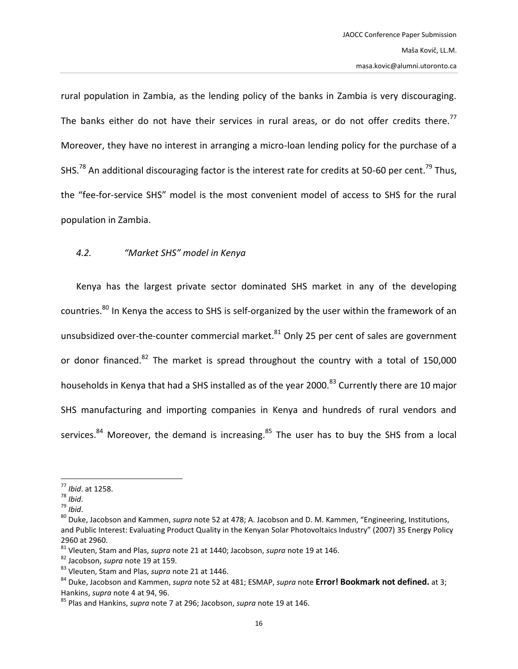rural population in Zambia, as the lending policy of the banks in Zambia is very discouraging. The banks either do not have their services in rural areas, or do not offer credits there.<sup>77</sup> Moreover, they have no interest in arranging a micro-loan lending policy for the purchase of a SHS.<sup>78</sup> An additional discouraging factor is the interest rate for credits at 50-60 per cent.<sup>79</sup> Thus, the "fee-for-service SHS" model is the most convenient model of access to SHS for the rural population in Zambia.

# *4.2. "Market SHS" model in Kenya*

Kenya has the largest private sector dominated SHS market in any of the developing countries.<sup>80</sup> In Kenya the access to SHS is self-organized by the user within the framework of an unsubsidized over-the-counter commercial market. $81$  Only 25 per cent of sales are government or donor financed. $82$  The market is spread throughout the country with a total of 150,000 households in Kenya that had a SHS installed as of the year 2000.<sup>83</sup> Currently there are 10 major SHS manufacturing and importing companies in Kenya and hundreds of rural vendors and services. $84$  Moreover, the demand is increasing. $85$  The user has to buy the SHS from a local

l

<sup>77</sup> *Ibid*. at 1258.

<sup>78</sup> *Ibid*.

<sup>79</sup> *Ibid*.

<sup>80</sup> Duke, Jacobson and Kammen, *supra* not[e 52](#page-11-0) at 478; A. Jacobson and D. M. Kammen, "Engineering, Institutions, and Public Interest: Evaluating Product Quality in the Kenyan Solar Photovoltaics Industry" (2007) 35 Energy Policy 2960 at 2960.

<sup>81</sup> Vleuten, Stam and Plas, *supra* note [21](#page-5-1) at 1440; Jacobson, *supra* note [19](#page-5-2) at 146.

<sup>82</sup> Jacobson, *supra* note [19](#page-5-2) at 159.

<sup>83</sup> Vleuten, Stam and Plas, *supra* note [21](#page-5-1) at 1446.

<sup>84</sup> Duke, Jacobson and Kammen, *supra* not[e 52](#page-11-0) at 481; ESMAP, *supra* note **Error! Bookmark not defined.** at 3; Hankins, *supra* note [4](#page-2-1) at 94, 96.

<sup>85</sup> Plas and Hankins, *supra* note [7](#page-3-0) at 296; Jacobson, *supra* note [19](#page-5-2) at 146.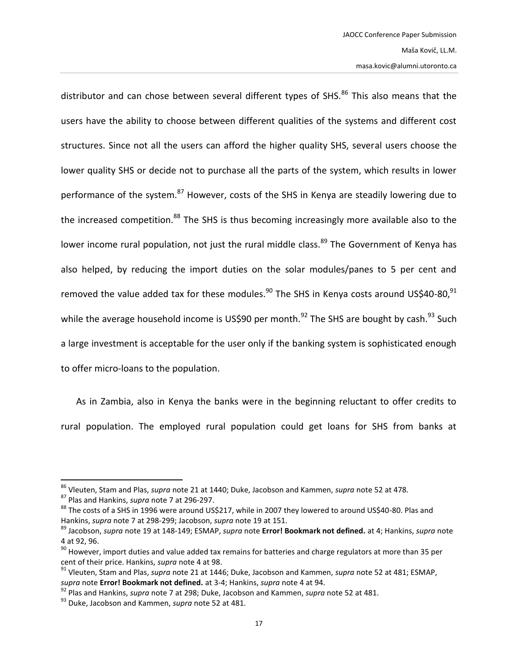distributor and can chose between several different types of SHS.<sup>86</sup> This also means that the users have the ability to choose between different qualities of the systems and different cost structures. Since not all the users can afford the higher quality SHS, several users choose the lower quality SHS or decide not to purchase all the parts of the system, which results in lower performance of the system.<sup>87</sup> However, costs of the SHS in Kenya are steadily lowering due to the increased competition.<sup>88</sup> The SHS is thus becoming increasingly more available also to the lower income rural population, not just the rural middle class.<sup>89</sup> The Government of Kenya has also helped, by reducing the import duties on the solar modules/panes to 5 per cent and removed the value added tax for these modules.<sup>90</sup> The SHS in Kenya costs around US\$40-80,<sup>91</sup> while the average household income is US\$90 per month.<sup>92</sup> The SHS are bought by cash.<sup>93</sup> Such a large investment is acceptable for the user only if the banking system is sophisticated enough to offer micro-loans to the population.

As in Zambia, also in Kenya the banks were in the beginning reluctant to offer credits to rural population. The employed rural population could get loans for SHS from banks at

<sup>86</sup> Vleuten, Stam and Plas, *supra* note [21](#page-5-1) at 1440; Duke, Jacobson and Kammen, *supra* not[e 52](#page-11-0) at 478.

<sup>87</sup> Plas and Hankins, *supra* note [7](#page-3-0) at 296-297.

<sup>88</sup> The costs of a SHS in 1996 were around US\$217, while in 2007 they lowered to around US\$40-80. Plas and Hankins, *supra* note [7](#page-3-0) at 298-299; Jacobson, *supra* not[e 19](#page-5-2) at 151.

<sup>89</sup> Jacobson, *supra* note [19](#page-5-2) at 148-149; ESMAP, *supra* note **Error! Bookmark not defined.** at 4; Hankins, *supra* note [4](#page-2-1) at 92, 96.

<sup>&</sup>lt;sup>90</sup> However, import duties and value added tax remains for batteries and charge regulators at more than 35 per cent of their price. Hankins, *supra* not[e 4](#page-2-1) at 98.

<sup>91</sup> Vleuten, Stam and Plas, *supra* note [21](#page-5-1) at 1446; Duke, Jacobson and Kammen, *supra* not[e 52](#page-11-0) at 481; ESMAP, *supra* note **Error! Bookmark not defined.** at 3-4; Hankins, *supra* not[e 4](#page-2-1) at 94.

<sup>92</sup> Plas and Hankins, *supra* note [7](#page-3-0) at 298; Duke, Jacobson and Kammen, *supra* not[e 52](#page-11-0) at 481.

<sup>93</sup> Duke, Jacobson and Kammen, *supra* not[e 52](#page-11-0) at 481.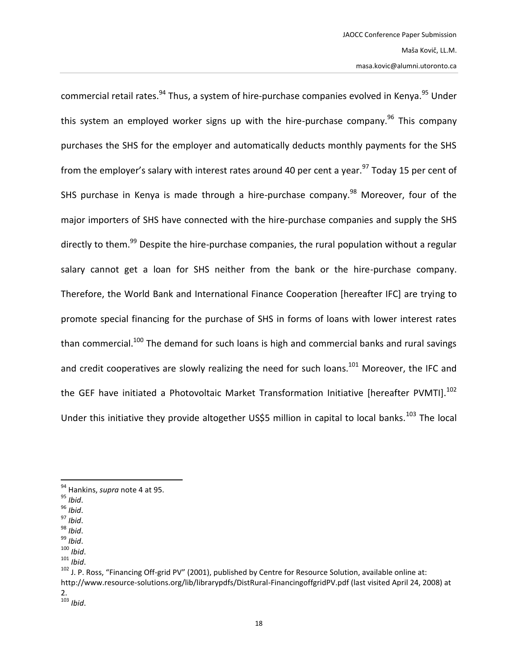commercial retail rates.<sup>94</sup> Thus, a system of hire-purchase companies evolved in Kenya.<sup>95</sup> Under this system an employed worker signs up with the hire-purchase company.<sup>96</sup> This company purchases the SHS for the employer and automatically deducts monthly payments for the SHS from the employer's salary with interest rates around 40 per cent a year.<sup>97</sup> Today 15 per cent of SHS purchase in Kenya is made through a hire-purchase company.<sup>98</sup> Moreover, four of the major importers of SHS have connected with the hire-purchase companies and supply the SHS directly to them.<sup>99</sup> Despite the hire-purchase companies, the rural population without a regular salary cannot get a loan for SHS neither from the bank or the hire-purchase company. Therefore, the World Bank and International Finance Cooperation [hereafter IFC] are trying to promote special financing for the purchase of SHS in forms of loans with lower interest rates than commercial.<sup>100</sup> The demand for such loans is high and commercial banks and rural savings and credit cooperatives are slowly realizing the need for such loans.<sup>101</sup> Moreover, the IFC and the GEF have initiated a Photovoltaic Market Transformation Initiative [hereafter PVMTI].<sup>102</sup> Under this initiative they provide altogether US\$5 million in capital to local banks.<sup>103</sup> The local

 $\overline{\phantom{a}}$ 

<sup>97</sup> *Ibid*.

<sup>94</sup> Hankins, *supra* note [4](#page-2-1) at 95.

<sup>95</sup> *Ibid*.

<sup>96</sup> *Ibid*.

<sup>98</sup> *Ibid*.

<sup>99</sup> *Ibid*.

<sup>100</sup> *Ibid*.

<sup>101</sup> *Ibid*.

<sup>&</sup>lt;sup>102</sup> J. P. Ross, "Financing Off-grid PV" (2001), published by Centre for Resource Solution, available online at: http://www.resource-solutions.org/lib/librarypdfs/DistRural-FinancingoffgridPV.pdf (last visited April 24, 2008) at 2. <sup>103</sup> *Ibid*.

<sup>18</sup>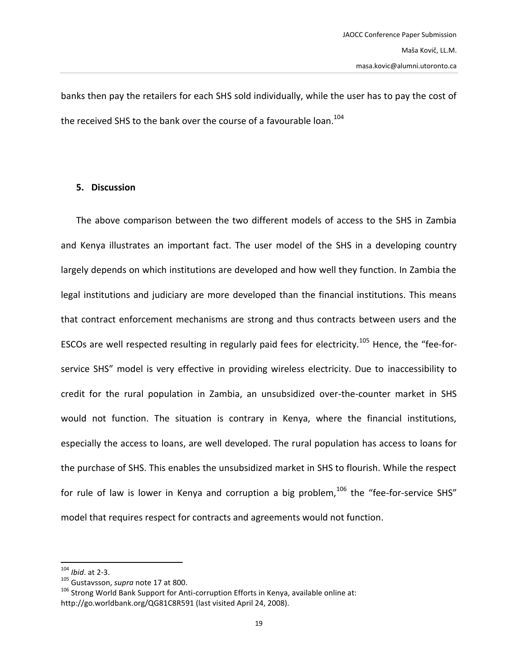banks then pay the retailers for each SHS sold individually, while the user has to pay the cost of the received SHS to the bank over the course of a favourable loan.<sup>104</sup>

### **5. Discussion**

The above comparison between the two different models of access to the SHS in Zambia and Kenya illustrates an important fact. The user model of the SHS in a developing country largely depends on which institutions are developed and how well they function. In Zambia the legal institutions and judiciary are more developed than the financial institutions. This means that contract enforcement mechanisms are strong and thus contracts between users and the ESCOs are well respected resulting in regularly paid fees for electricity.<sup>105</sup> Hence, the "fee-forservice SHS" model is very effective in providing wireless electricity. Due to inaccessibility to credit for the rural population in Zambia, an unsubsidized over-the-counter market in SHS would not function. The situation is contrary in Kenya, where the financial institutions, especially the access to loans, are well developed. The rural population has access to loans for the purchase of SHS. This enables the unsubsidized market in SHS to flourish. While the respect for rule of law is lower in Kenya and corruption a big problem,  $106$  the "fee-for-service SHS" model that requires respect for contracts and agreements would not function.

<sup>104</sup> *Ibid*. at 2-3.

<sup>105</sup> Gustavsson, *supra* not[e 17](#page-5-0) at 800.

 $106$  Strong World Bank Support for Anti-corruption Efforts in Kenya, available online at: http://go.worldbank.org/QG81C8R591 (last visited April 24, 2008).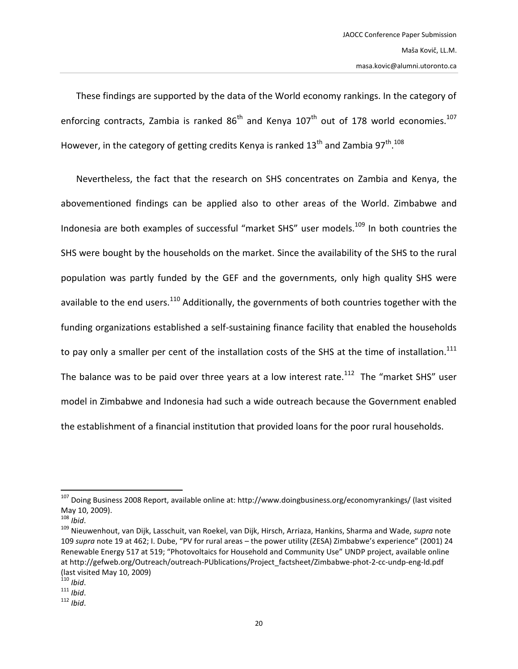<span id="page-19-1"></span>These findings are supported by the data of the World economy rankings. In the category of enforcing contracts, Zambia is ranked  $86<sup>th</sup>$  and Kenya  $107<sup>th</sup>$  out of 178 world economies.<sup>107</sup> However, in the category of getting credits Kenya is ranked 13<sup>th</sup> and Zambia 97<sup>th</sup>.<sup>108</sup>

<span id="page-19-0"></span>Nevertheless, the fact that the research on SHS concentrates on Zambia and Kenya, the abovementioned findings can be applied also to other areas of the World. Zimbabwe and Indonesia are both examples of successful "market SHS" user models.<sup>109</sup> In both countries the SHS were bought by the households on the market. Since the availability of the SHS to the rural population was partly funded by the GEF and the governments, only high quality SHS were available to the end users.<sup>110</sup> Additionally, the governments of both countries together with the funding organizations established a self-sustaining finance facility that enabled the households to pay only a smaller per cent of the installation costs of the SHS at the time of installation.<sup>111</sup> The balance was to be paid over three years at a low interest rate.<sup>112</sup> The "market SHS" user model in Zimbabwe and Indonesia had such a wide outreach because the Government enabled the establishment of a financial institution that provided loans for the poor rural households.

<sup>&</sup>lt;sup>107</sup> Doing Business 2008 Report, available online at: http://www.doingbusiness.org/economyrankings/ (last visited May 10, 2009).

<sup>108</sup> *Ibid*.

<sup>109</sup> Nieuwenhout, van Dijk, Lasschuit, van Roekel, van Dijk, Hirsch, Arriaza, Hankins, Sharma and Wade, *supra* note [109](#page-19-0) *supra* not[e 19](#page-5-2) at 462; I. Dube, "PV for rural areas – the power utility (ZESA) Zimbabwe's experience" (2001) 24 Renewable Energy 517 at 519; "Photovoltaics for Household and Community Use" UNDP project, available online at http://gefweb.org/Outreach/outreach-PUblications/Project\_factsheet/Zimbabwe-phot-2-cc-undp-eng-ld.pdf (last visited May 10, 2009)

<sup>110</sup> *Ibid*.

<sup>111</sup> *Ibid*.

<sup>112</sup> *Ibid*.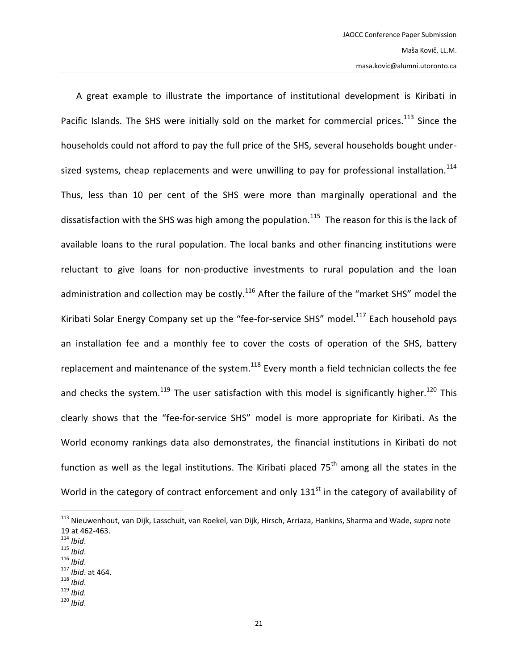A great example to illustrate the importance of institutional development is Kiribati in Pacific Islands. The SHS were initially sold on the market for commercial prices.<sup>113</sup> Since the households could not afford to pay the full price of the SHS, several households bought undersized systems, cheap replacements and were unwilling to pay for professional installation.<sup>114</sup> Thus, less than 10 per cent of the SHS were more than marginally operational and the dissatisfaction with the SHS was high among the population.<sup>115</sup> The reason for this is the lack of available loans to the rural population. The local banks and other financing institutions were reluctant to give loans for non-productive investments to rural population and the loan administration and collection may be costly.<sup>116</sup> After the failure of the "market SHS" model the Kiribati Solar Energy Company set up the "fee-for-service SHS" model. $^{117}$  Each household pays an installation fee and a monthly fee to cover the costs of operation of the SHS, battery replacement and maintenance of the system. $118$  Every month a field technician collects the fee and checks the system.<sup>119</sup> The user satisfaction with this model is significantly higher.<sup>120</sup> This clearly shows that the "fee-for-service SHS" model is more appropriate for Kiribati. As the World economy rankings data also demonstrates, the financial institutions in Kiribati do not function as well as the legal institutions. The Kiribati placed  $75<sup>th</sup>$  among all the states in the World in the category of contract enforcement and only 131<sup>st</sup> in the category of availability of

<sup>114</sup> *Ibid*.

- <sup>115</sup> *Ibid*.
- <sup>116</sup> *Ibid*.
- <sup>117</sup> *Ibid*. at 464.
- <sup>118</sup> *Ibid*.
- <sup>119</sup> *Ibid*.
- <sup>120</sup> *Ibid*.

<sup>113</sup> Nieuwenhout, van Dijk, Lasschuit, van Roekel, van Dijk, Hirsch, Arriaza, Hankins, Sharma and Wade, *supra* note [19](#page-5-2) at 462-463.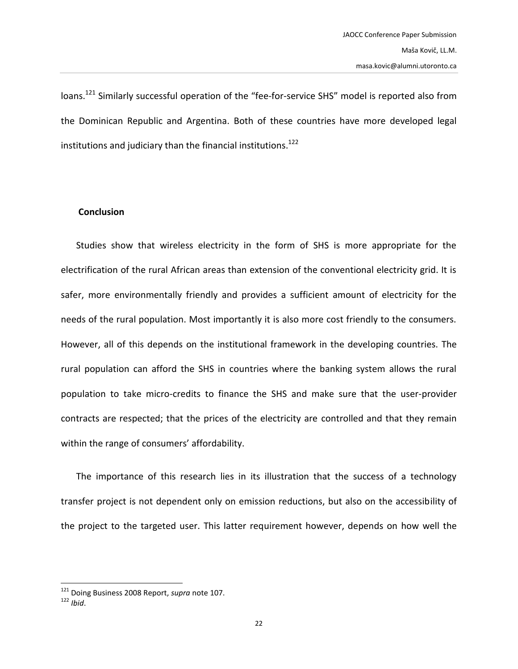loans.<sup>121</sup> Similarly successful operation of the "fee-for-service SHS" model is reported also from the Dominican Republic and Argentina. Both of these countries have more developed legal institutions and judiciary than the financial institutions.<sup>122</sup>

### **Conclusion**

Studies show that wireless electricity in the form of SHS is more appropriate for the electrification of the rural African areas than extension of the conventional electricity grid. It is safer, more environmentally friendly and provides a sufficient amount of electricity for the needs of the rural population. Most importantly it is also more cost friendly to the consumers. However, all of this depends on the institutional framework in the developing countries. The rural population can afford the SHS in countries where the banking system allows the rural population to take micro-credits to finance the SHS and make sure that the user-provider contracts are respected; that the prices of the electricity are controlled and that they remain within the range of consumers' affordability.

The importance of this research lies in its illustration that the success of a technology transfer project is not dependent only on emission reductions, but also on the accessibility of the project to the targeted user. This latter requirement however, depends on how well the

l

<sup>121</sup> Doing Business 2008 Report, *supra* not[e 107.](#page-19-1)

<sup>122</sup> *Ibid*.